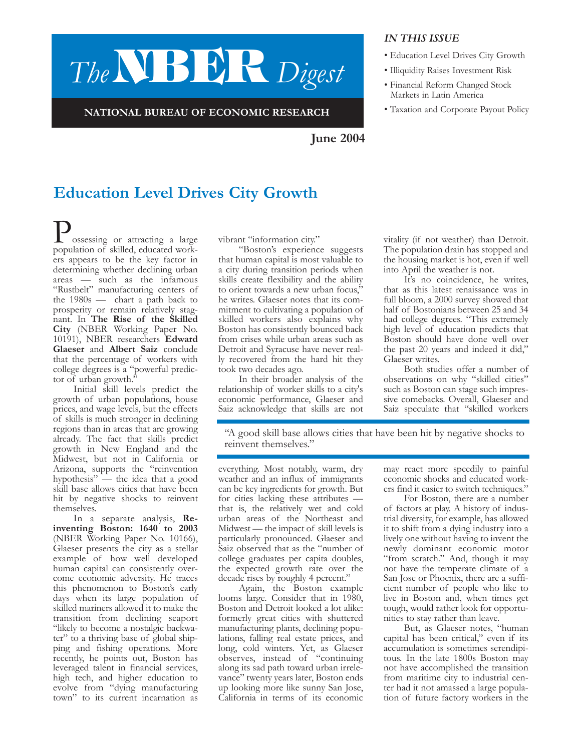# *The***NBER** *Digest*

**NATIONAL BUREAU OF ECONOMIC RESEARCH**

#### *IN THIS ISSUE*

- Education Level Drives City Growth
- Illiquidity Raises Investment Risk
- Financial Reform Changed Stock Markets in Latin America
- Taxation and Corporate Payout Policy

**June 2004**

# **Education Level Drives City Growth**

ossessing or attracting a large population of skilled, educated workers appears to be the key factor in determining whether declining urban areas — such as the infamous "Rustbelt" manufacturing centers of the 1980s — chart a path back to prosperity or remain relatively stagnant. In **The Rise of the Skilled City** (NBER Working Paper No. 10191), NBER researchers **Edward Glaeser** and **Albert Saiz** conclude that the percentage of workers with college degrees is a "powerful predictor of urban growth."

Initial skill levels predict the growth of urban populations, house prices, and wage levels, but the effects of skills is much stronger in declining regions than in areas that are growing already. The fact that skills predict growth in New England and the Midwest, but not in California or Arizona, supports the "reinvention hypothesis" — the idea that a good skill base allows cities that have been hit by negative shocks to reinvent themselves.

In a separate analysis, **Reinventing Boston: 1640 to 2003** (NBER Working Paper No. 10166), Glaeser presents the city as a stellar example of how well developed human capital can consistently overcome economic adversity. He traces this phenomenon to Boston's early days when its large population of skilled mariners allowed it to make the transition from declining seaport "likely to become a nostalgic backwater" to a thriving base of global shipping and fishing operations. More recently, he points out, Boston has leveraged talent in financial services, high tech, and higher education to evolve from "dying manufacturing town" to its current incarnation as vibrant "information city."

"Boston's experience suggests that human capital is most valuable to a city during transition periods when skills create flexibility and the ability to orient towards a new urban focus,' he writes. Glaeser notes that its commitment to cultivating a population of skilled workers also explains why Boston has consistently bounced back from crises while urban areas such as Detroit and Syracuse have never really recovered from the hard hit they took two decades ago.

In their broader analysis of the relationship of worker skills to a city's economic performance, Glaeser and Saiz acknowledge that skills are not

vitality (if not weather) than Detroit. The population drain has stopped and the housing market is hot, even if well into April the weather is not.

It's no coincidence, he writes, that as this latest renaissance was in full bloom, a 2000 survey showed that half of Bostonians between 25 and 34 had college degrees. "This extremely high level of education predicts that Boston should have done well over the past 20 years and indeed it did," Glaeser writes.

Both studies offer a number of observations on why "skilled cities" such as Boston can stage such impressive comebacks. Overall, Glaeser and Saiz speculate that "skilled workers

"A good skill base allows cities that have been hit by negative shocks to reinvent themselves."

everything. Most notably, warm, dry weather and an influx of immigrants can be key ingredients for growth. But for cities lacking these attributes that is, the relatively wet and cold urban areas of the Northeast and Midwest — the impact of skill levels is particularly pronounced. Glaeser and Saiz observed that as the "number of college graduates per capita doubles, the expected growth rate over the decade rises by roughly 4 percent."

Again, the Boston example looms large. Consider that in 1980, Boston and Detroit looked a lot alike: formerly great cities with shuttered manufacturing plants, declining populations, falling real estate prices, and long, cold winters. Yet, as Glaeser observes, instead of "continuing along its sad path toward urban irrelevance" twenty years later, Boston ends up looking more like sunny San Jose, California in terms of its economic may react more speedily to painful economic shocks and educated workers find it easier to switch techniques."

For Boston, there are a number of factors at play. A history of industrial diversity, for example, has allowed it to shift from a dying industry into a lively one without having to invent the newly dominant economic motor "from scratch." And, though it may not have the temperate climate of a San Jose or Phoenix, there are a sufficient number of people who like to live in Boston and, when times get tough, would rather look for opportunities to stay rather than leave.

But, as Glaeser notes, "human capital has been critical," even if its accumulation is sometimes serendipitous. In the late 1800s Boston may not have accomplished the transition from maritime city to industrial center had it not amassed a large population of future factory workers in the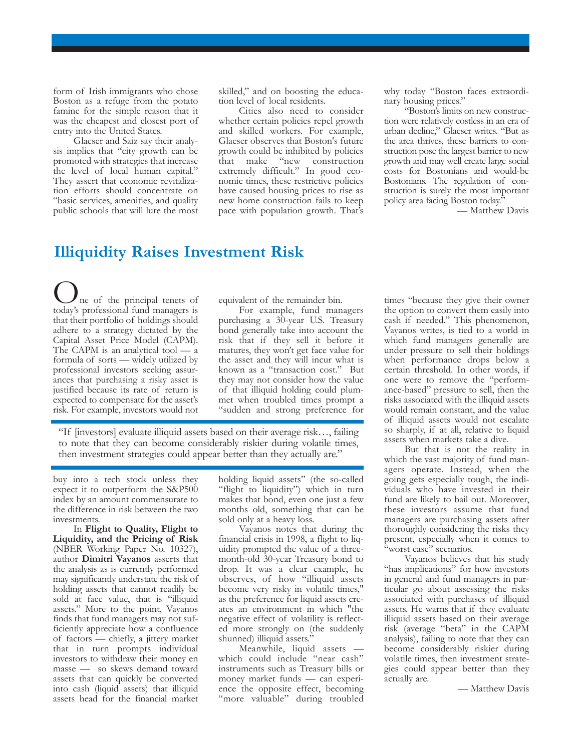form of Irish immigrants who chose Boston as a refuge from the potato famine for the simple reason that it was the cheapest and closest port of entry into the United States.

Glaeser and Saiz say their analysis implies that "city growth can be promoted with strategies that increase the level of local human capital." They assert that economic revitalization efforts should concentrate on "basic services, amenities, and quality public schools that will lure the most skilled," and on boosting the education level of local residents.

Cities also need to consider whether certain policies repel growth and skilled workers. For example, Glaeser observes that Boston's future growth could be inhibited by policies that make "new construction extremely difficult." In good economic times, these restrictive policies have caused housing prices to rise as new home construction fails to keep pace with population growth. That's why today "Boston faces extraordinary housing prices."

"Boston's limits on new construction were relatively costless in an era of urban decline," Glaeser writes. "But as the area thrives, these barriers to construction pose the largest barrier to new growth and may well create large social costs for Bostonians and would-be Bostonians. The regulation of construction is surely the most important policy area facing Boston today."

— Matthew Davis

#### **Illiquidity Raises Investment Risk**

ne of the principal tenets of today's professional fund managers is that their portfolio of holdings should adhere to a strategy dictated by the Capital Asset Price Model (CAPM). The CAPM is an analytical tool — a formula of sorts — widely utilized by professional investors seeking assurances that purchasing a risky asset is justified because its rate of return is expected to compensate for the asset's risk. For example, investors would not

equivalent of the remainder bin.

For example, fund managers purchasing a 30-year U.S. Treasury bond generally take into account the risk that if they sell it before it matures, they won't get face value for the asset and they will incur what is known as a "transaction cost." But they may not consider how the value of that illiquid holding could plummet when troubled times prompt a "sudden and strong preference for

"If [investors] evaluate illiquid assets based on their average risk…, failing to note that they can become considerably riskier during volatile times, then investment strategies could appear better than they actually are."

buy into a tech stock unless they expect it to outperform the S&P500 index by an amount commensurate to the difference in risk between the two investments.

In **Flight to Quality, Flight to Liquidity, and the Pricing of Risk** (NBER Working Paper No. 10327), author **Dimitri Vayanos** asserts that the analysis as is currently performed may significantly understate the risk of holding assets that cannot readily be sold at face value, that is "illiquid assets." More to the point, Vayanos finds that fund managers may not sufficiently appreciate how a confluence of factors — chiefly, a jittery market that in turn prompts individual investors to withdraw their money en masse — so skews demand toward assets that can quickly be converted into cash (liquid assets) that illiquid assets head for the financial market holding liquid assets" (the so-called "flight to liquidity") which in turn makes that bond, even one just a few months old, something that can be sold only at a heavy loss.

Vayanos notes that during the financial crisis in 1998, a flight to liquidity prompted the value of a threemonth-old 30-year Treasury bond to drop. It was a clear example, he observes, of how "illiquid assets become very risky in volatile times," as the preference for liquid assets creates an environment in which "the negative effect of volatility is reflected more strongly on (the suddenly shunned) illiquid assets."

Meanwhile, liquid assets which could include "near cash" instruments such as Treasury bills or money market funds — can experience the opposite effect, becoming "more valuable" during troubled

times "because they give their owner the option to convert them easily into cash if needed." This phenomenon, Vayanos writes, is tied to a world in which fund managers generally are under pressure to sell their holdings when performance drops below a certain threshold. In other words, if one were to remove the "performance-based" pressure to sell, then the risks associated with the illiquid assets would remain constant, and the value of illiquid assets would not escalate so sharply, if at all, relative to liquid assets when markets take a dive.

But that is not the reality in which the vast majority of fund managers operate. Instead, when the going gets especially tough, the individuals who have invested in their fund are likely to bail out. Moreover, these investors assume that fund managers are purchasing assets after thoroughly considering the risks they present, especially when it comes to "worst case" scenarios.

Vayanos believes that his study "has implications" for how investors in general and fund managers in particular go about assessing the risks associated with purchases of illiquid assets. He warns that if they evaluate illiquid assets based on their average risk (average "beta" in the CAPM analysis), failing to note that they can become considerably riskier during volatile times, then investment strategies could appear better than they actually are.

— Matthew Davis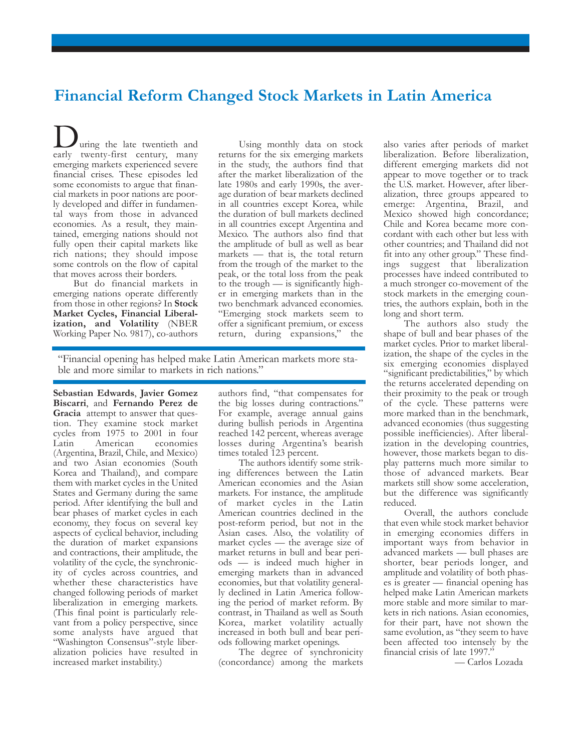### **Financial Reform Changed Stock Markets in Latin America**

uring the late twentieth and early twenty-first century, many emerging markets experienced severe financial crises. These episodes led some economists to argue that financial markets in poor nations are poorly developed and differ in fundamental ways from those in advanced economies. As a result, they maintained, emerging nations should not fully open their capital markets like rich nations; they should impose some controls on the flow of capital that moves across their borders.

But do financial markets in emerging nations operate differently from those in other regions? In **Stock Market Cycles, Financial Liberalization, and Volatility** (NBER Working Paper No. 9817), co-authors

Using monthly data on stock returns for the six emerging markets in the study, the authors find that after the market liberalization of the late 1980s and early 1990s, the average duration of bear markets declined in all countries except Korea, while the duration of bull markets declined in all countries except Argentina and Mexico. The authors also find that the amplitude of bull as well as bear markets — that is, the total return from the trough of the market to the peak, or the total loss from the peak to the trough  $-$  is significantly higher in emerging markets than in the two benchmark advanced economies. "Emerging stock markets seem to offer a significant premium, or excess return, during expansions," the

"Financial opening has helped make Latin American markets more stable and more similar to markets in rich nations."

**Sebastian Edwards**, **Javier Gomez Biscarri**, and **Fernando Perez de Gracia** attempt to answer that question. They examine stock market cycles from 1975 to 2001 in four Latin American economies (Argentina, Brazil, Chile, and Mexico) and two Asian economies (South Korea and Thailand), and compare them with market cycles in the United States and Germany during the same period. After identifying the bull and bear phases of market cycles in each economy, they focus on several key aspects of cyclical behavior, including the duration of market expansions and contractions, their amplitude, the volatility of the cycle, the synchronicity of cycles across countries, and whether these characteristics have changed following periods of market liberalization in emerging markets. (This final point is particularly relevant from a policy perspective, since some analysts have argued that "Washington Consensus"-style liberalization policies have resulted in increased market instability.)

authors find, "that compensates for the big losses during contractions." For example, average annual gains during bullish periods in Argentina reached 142 percent, whereas average losses during Argentina's bearish times totaled 123 percent.

The authors identify some striking differences between the Latin American economies and the Asian markets. For instance, the amplitude of market cycles in the Latin American countries declined in the post-reform period, but not in the Asian cases. Also, the volatility of market cycles — the average size of market returns in bull and bear periods — is indeed much higher in emerging markets than in advanced economies, but that volatility generally declined in Latin America following the period of market reform. By contrast, in Thailand as well as South Korea, market volatility actually increased in both bull and bear periods following market openings.

The degree of synchronicity (concordance) among the markets also varies after periods of market liberalization. Before liberalization, different emerging markets did not appear to move together or to track the U.S. market. However, after liberalization, three groups appeared to emerge: Argentina, Brazil, and Mexico showed high concordance; Chile and Korea became more concordant with each other but less with other countries; and Thailand did not fit into any other group." These findings suggest that liberalization processes have indeed contributed to a much stronger co-movement of the stock markets in the emerging countries, the authors explain, both in the long and short term.

The authors also study the shape of bull and bear phases of the market cycles. Prior to market liberalization, the shape of the cycles in the six emerging economies displayed "significant predictabilities," by which the returns accelerated depending on their proximity to the peak or trough of the cycle. These patterns were more marked than in the benchmark, advanced economies (thus suggesting possible inefficiencies). After liberalization in the developing countries, however, those markets began to display patterns much more similar to those of advanced markets. Bear markets still show some acceleration, but the difference was significantly reduced.

Overall, the authors conclude that even while stock market behavior in emerging economies differs in important ways from behavior in advanced markets — bull phases are shorter, bear periods longer, and amplitude and volatility of both phases is greater — financial opening has helped make Latin American markets more stable and more similar to markets in rich nations. Asian economies, for their part, have not shown the same evolution, as "they seem to have been affected too intensely by the financial crisis of late 1997.'

— Carlos Lozada